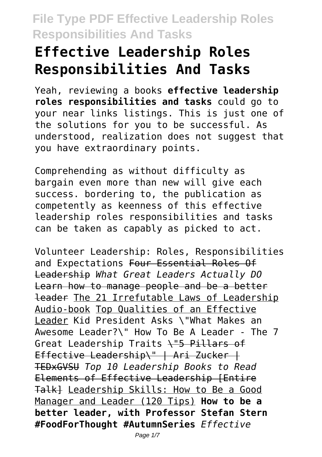# **Effective Leadership Roles Responsibilities And Tasks**

Yeah, reviewing a books **effective leadership roles responsibilities and tasks** could go to your near links listings. This is just one of the solutions for you to be successful. As understood, realization does not suggest that you have extraordinary points.

Comprehending as without difficulty as bargain even more than new will give each success. bordering to, the publication as competently as keenness of this effective leadership roles responsibilities and tasks can be taken as capably as picked to act.

Volunteer Leadership: Roles, Responsibilities and Expectations Four Essential Roles Of Leadership *What Great Leaders Actually DO* Learn how to manage people and be a better leader The 21 Irrefutable Laws of Leadership Audio-book Top Qualities of an Effective Leader Kid President Asks \"What Makes an Awesome Leader?\" How To Be A Leader - The 7 Great Leadership Traits \"5 Pillars of Effective Leadership\" | Ari Zucker | TEDxGVSU *Top 10 Leadership Books to Read* Elements of Effective Leadership [Entire Talk] Leadership Skills: How to Be a Good Manager and Leader (120 Tips) **How to be a better leader, with Professor Stefan Stern #FoodForThought #AutumnSeries** *Effective*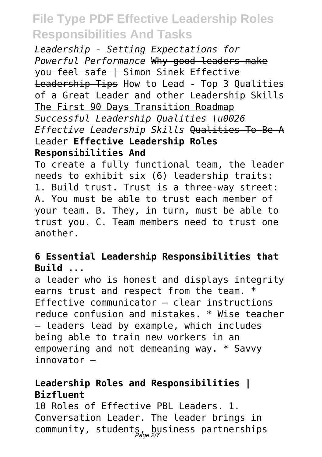*Leadership - Setting Expectations for Powerful Performance* Why good leaders make you feel safe | Simon Sinek Effective Leadership Tips How to Lead - Top 3 Qualities of a Great Leader and other Leadership Skills The First 90 Days Transition Roadmap *Successful Leadership Qualities \u0026 Effective Leadership Skills* Qualities To Be A Leader **Effective Leadership Roles Responsibilities And**

To create a fully functional team, the leader needs to exhibit six (6) leadership traits: 1. Build trust. Trust is a three-way street: A. You must be able to trust each member of your team. B. They, in turn, must be able to trust you. C. Team members need to trust one another.

#### **6 Essential Leadership Responsibilities that Build ...**

a leader who is honest and displays integrity earns trust and respect from the team. \* Effective communicator – clear instructions reduce confusion and mistakes. \* Wise teacher – leaders lead by example, which includes being able to train new workers in an empowering and not demeaning way. \* Savvy innovator –

### **Leadership Roles and Responsibilities | Bizfluent**

10 Roles of Effective PBL Leaders. 1. Conversation Leader. The leader brings in community, students, business partnerships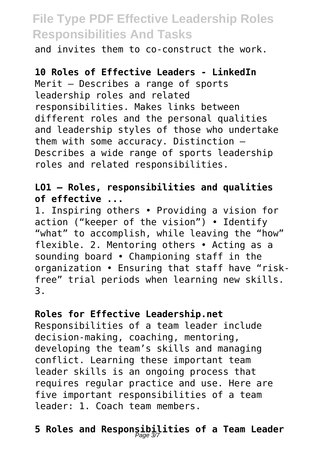and invites them to co-construct the work.

### **10 Roles of Effective Leaders - LinkedIn**

Merit – Describes a range of sports leadership roles and related responsibilities. Makes links between different roles and the personal qualities and leadership styles of those who undertake them with some accuracy. Distinction – Describes a wide range of sports leadership roles and related responsibilities.

### **LO1 – Roles, responsibilities and qualities of effective ...**

1. Inspiring others • Providing a vision for action ("keeper of the vision") • Identify "what" to accomplish, while leaving the "how" flexible. 2. Mentoring others • Acting as a sounding board • Championing staff in the organization • Ensuring that staff have "riskfree" trial periods when learning new skills. 3.

#### **Roles for Effective Leadership.net**

Responsibilities of a team leader include decision-making, coaching, mentoring, developing the team's skills and managing conflict. Learning these important team leader skills is an ongoing process that requires regular practice and use. Here are five important responsibilities of a team leader: 1. Coach team members.

# **5 Roles and Responsibilities of a Team Leader** Page 3/7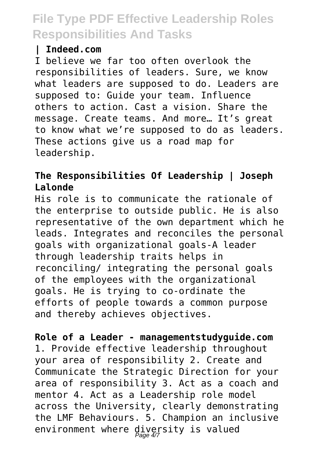#### **| Indeed.com**

I believe we far too often overlook the responsibilities of leaders. Sure, we know what leaders are supposed to do. Leaders are supposed to: Guide your team. Influence others to action. Cast a vision. Share the message. Create teams. And more… It's great to know what we're supposed to do as leaders. These actions give us a road map for leadership.

### **The Responsibilities Of Leadership | Joseph Lalonde**

His role is to communicate the rationale of the enterprise to outside public. He is also representative of the own department which he leads. Integrates and reconciles the personal goals with organizational goals-A leader through leadership traits helps in reconciling/ integrating the personal goals of the employees with the organizational goals. He is trying to co-ordinate the efforts of people towards a common purpose and thereby achieves objectives.

**Role of a Leader - managementstudyguide.com** 1. Provide effective leadership throughout your area of responsibility 2. Create and Communicate the Strategic Direction for your area of responsibility 3. Act as a coach and mentor 4. Act as a Leadership role model across the University, clearly demonstrating the LMF Behaviours. 5. Champion an inclusive environment where diversity is valued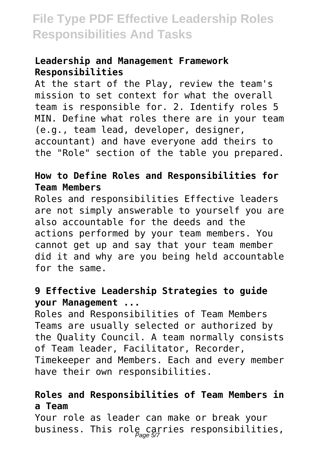#### **Leadership and Management Framework Responsibilities**

At the start of the Play, review the team's mission to set context for what the overall team is responsible for. 2. Identify roles 5 MIN. Define what roles there are in your team (e.g., team lead, developer, designer, accountant) and have everyone add theirs to the "Role" section of the table you prepared.

### **How to Define Roles and Responsibilities for Team Members**

Roles and responsibilities Effective leaders are not simply answerable to yourself you are also accountable for the deeds and the actions performed by your team members. You cannot get up and say that your team member did it and why are you being held accountable for the same.

### **9 Effective Leadership Strategies to guide your Management ...**

Roles and Responsibilities of Team Members Teams are usually selected or authorized by the Quality Council. A team normally consists of Team leader, Facilitator, Recorder, Timekeeper and Members. Each and every member have their own responsibilities.

### **Roles and Responsibilities of Team Members in a Team**

Your role as leader can make or break your business. This role carries responsibilities,  $\rho_{\textit{age 57}}$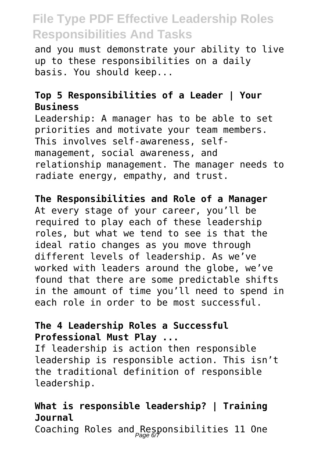and you must demonstrate your ability to live up to these responsibilities on a daily basis. You should keep...

### **Top 5 Responsibilities of a Leader | Your Business**

Leadership: A manager has to be able to set priorities and motivate your team members. This involves self-awareness, selfmanagement, social awareness, and relationship management. The manager needs to radiate energy, empathy, and trust.

### **The Responsibilities and Role of a Manager**

At every stage of your career, you'll be required to play each of these leadership roles, but what we tend to see is that the ideal ratio changes as you move through different levels of leadership. As we've worked with leaders around the globe, we've found that there are some predictable shifts in the amount of time you'll need to spend in each role in order to be most successful.

### **The 4 Leadership Roles a Successful Professional Must Play ...**

If leadership is action then responsible leadership is responsible action. This isn't the traditional definition of responsible leadership.

### **What is responsible leadership? | Training Journal**

Coaching Roles and  $R$ esponsibilities 11 One